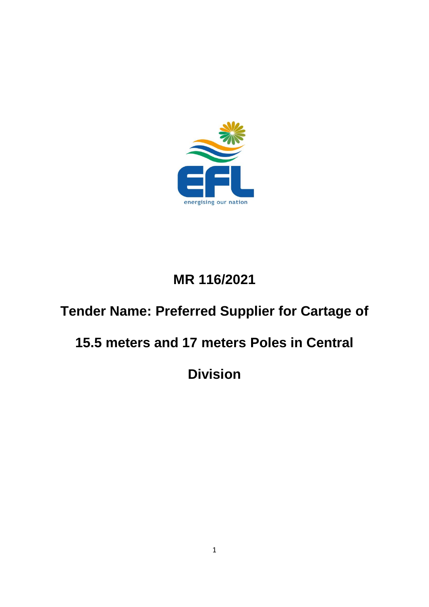

# **MR 116/2021**

# **Tender Name: Preferred Supplier for Cartage of**

# **15.5 meters and 17 meters Poles in Central**

**Division**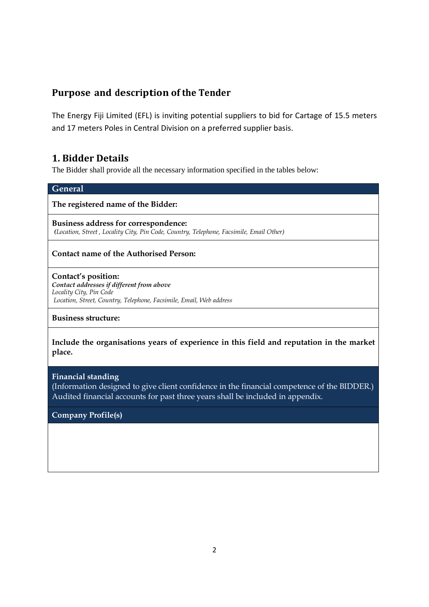# **Purpose and description of the Tender**

The Energy Fiji Limited (EFL) is inviting potential suppliers to bid for Cartage of 15.5 meters and 17 meters Poles in Central Division on a preferred supplier basis.

# **1. Bidder Details**

The Bidder shall provide all the necessary information specified in the tables below:

| <b>General</b>                                                                                                                                                     |
|--------------------------------------------------------------------------------------------------------------------------------------------------------------------|
| The registered name of the Bidder:                                                                                                                                 |
| Business address for correspondence:<br>(Location, Street, Locality City, Pin Code, Country, Telephone, Facsimile, Email Other)                                    |
| <b>Contact name of the Authorised Person:</b>                                                                                                                      |
| Contact's position:<br>Contact addresses if different from above<br>Locality City, Pin Code<br>Location, Street, Country, Telephone, Facsimile, Email, Web address |
| <b>Business structure:</b>                                                                                                                                         |
| Include the organisations years of experience in this field and reputation in the market<br>place.                                                                 |

**Financial standing**  (Information designed to give client confidence in the financial competence of the BIDDER.) Audited financial accounts for past three years shall be included in appendix.

**Company Profile(s)**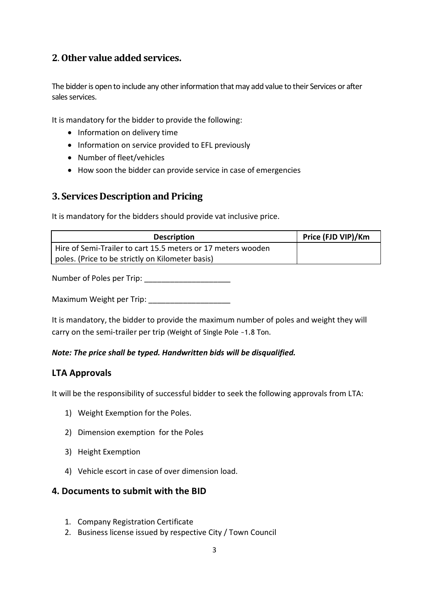# **2**. **Other value added services.**

The bidder is open to include any other information that may add value to their Services or after sales services.

It is mandatory for the bidder to provide the following:

- Information on delivery time
- Information on service provided to EFL previously
- Number of fleet/vehicles
- How soon the bidder can provide service in case of emergencies

## **3. Services Description and Pricing**

It is mandatory for the bidders should provide vat inclusive price.

| <b>Description</b>                                           | Price (FJD VIP)/Km |
|--------------------------------------------------------------|--------------------|
| Hire of Semi-Trailer to cart 15.5 meters or 17 meters wooden |                    |
| poles. (Price to be strictly on Kilometer basis)             |                    |

Number of Poles per Trip:

Maximum Weight per Trip: \_\_\_\_\_\_\_\_\_\_\_\_\_\_\_\_\_\_\_

It is mandatory, the bidder to provide the maximum number of poles and weight they will carry on the semi-trailer per trip (Weight of Single Pole ~1.8 Ton.

#### *Note: The price shall be typed. Handwritten bids will be disqualified.*

#### **LTA Approvals**

It will be the responsibility of successful bidder to seek the following approvals from LTA:

- 1) Weight Exemption for the Poles.
- 2) Dimension exemption for the Poles
- 3) Height Exemption
- 4) Vehicle escort in case of over dimension load.

#### **4. Documents to submit with the BID**

- 1. Company Registration Certificate
- 2. Business license issued by respective City / Town Council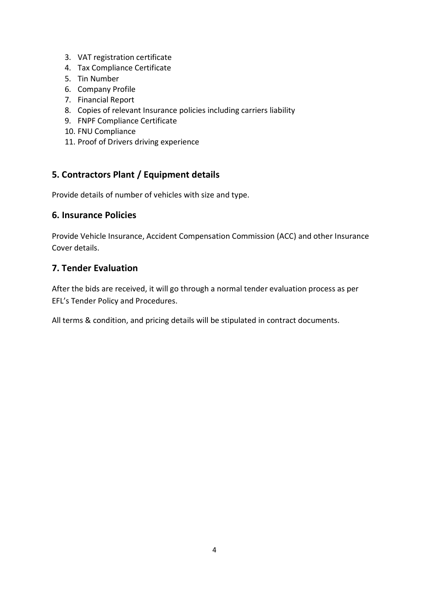- 3. VAT registration certificate
- 4. Tax Compliance Certificate
- 5. Tin Number
- 6. Company Profile
- 7. Financial Report
- 8. Copies of relevant Insurance policies including carriers liability
- 9. FNPF Compliance Certificate
- 10. FNU Compliance
- 11. Proof of Drivers driving experience

# **5. Contractors Plant / Equipment details**

Provide details of number of vehicles with size and type.

### **6. Insurance Policies**

Provide Vehicle Insurance, Accident Compensation Commission (ACC) and other Insurance Cover details.

### **7. Tender Evaluation**

After the bids are received, it will go through a normal tender evaluation process as per EFL's Tender Policy and Procedures.

All terms & condition, and pricing details will be stipulated in contract documents.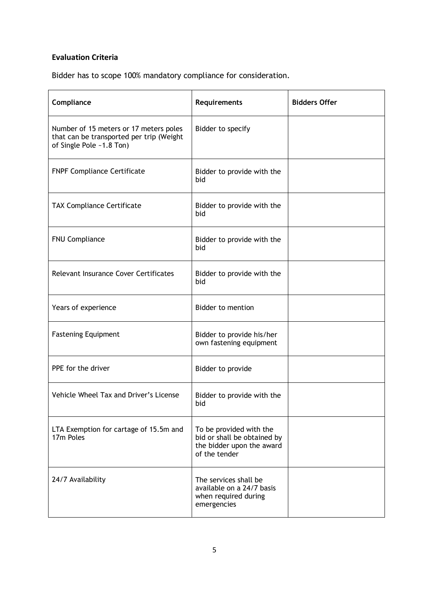## **Evaluation Criteria**

Bidder has to scope 100% mandatory compliance for consideration.

| Compliance                                                                                                     | Requirements                                                                                         | <b>Bidders Offer</b> |
|----------------------------------------------------------------------------------------------------------------|------------------------------------------------------------------------------------------------------|----------------------|
| Number of 15 meters or 17 meters poles<br>that can be transported per trip (Weight<br>of Single Pole ~1.8 Ton) | Bidder to specify                                                                                    |                      |
| <b>FNPF Compliance Certificate</b>                                                                             | Bidder to provide with the<br>bid                                                                    |                      |
| <b>TAX Compliance Certificate</b>                                                                              | Bidder to provide with the<br>bid                                                                    |                      |
| <b>FNU Compliance</b>                                                                                          | Bidder to provide with the<br>bid                                                                    |                      |
| Relevant Insurance Cover Certificates                                                                          | Bidder to provide with the<br>bid                                                                    |                      |
| Years of experience                                                                                            | <b>Bidder to mention</b>                                                                             |                      |
| <b>Fastening Equipment</b>                                                                                     | Bidder to provide his/her<br>own fastening equipment                                                 |                      |
| PPE for the driver                                                                                             | Bidder to provide                                                                                    |                      |
| Vehicle Wheel Tax and Driver's License                                                                         | Bidder to provide with the<br>bid                                                                    |                      |
| LTA Exemption for cartage of 15.5m and<br>17m Poles                                                            | To be provided with the<br>bid or shall be obtained by<br>the bidder upon the award<br>of the tender |                      |
| 24/7 Availability                                                                                              | The services shall be<br>available on a 24/7 basis<br>when required during<br>emergencies            |                      |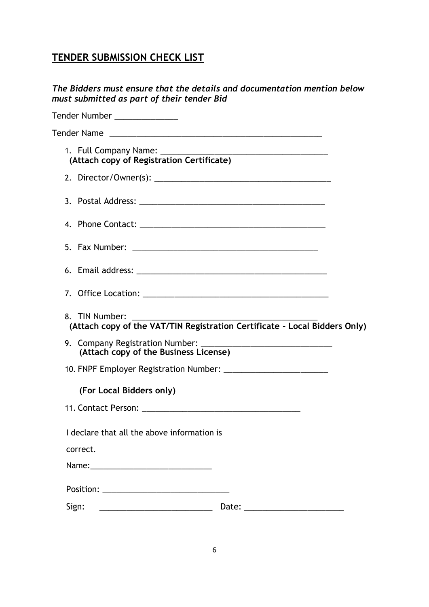# **TENDER SUBMISSION CHECK LIST**

| The Bidders must ensure that the details and documentation mention below<br>must submitted as part of their tender Bid |  |
|------------------------------------------------------------------------------------------------------------------------|--|
| Tender Number ______________                                                                                           |  |
|                                                                                                                        |  |
| (Attach copy of Registration Certificate)                                                                              |  |
|                                                                                                                        |  |
|                                                                                                                        |  |
|                                                                                                                        |  |
|                                                                                                                        |  |
|                                                                                                                        |  |
|                                                                                                                        |  |
| 8. TIN Number:<br>(Attach copy of the VAT/TIN Registration Certificate - Local Bidders Only)                           |  |
|                                                                                                                        |  |
|                                                                                                                        |  |
| (For Local Bidders only)                                                                                               |  |
|                                                                                                                        |  |
| I declare that all the above information is                                                                            |  |
| correct.                                                                                                               |  |
|                                                                                                                        |  |
|                                                                                                                        |  |
| Sign:<br>Date: _________________________                                                                               |  |